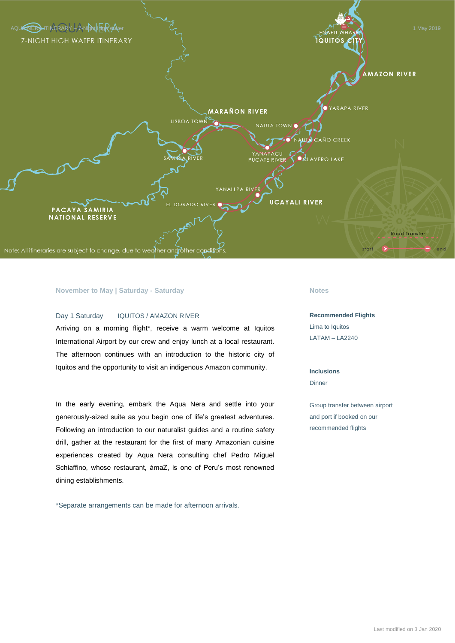

### **November to May | Saturday - Saturday**

#### Day 1 Saturday IQUITOS / AMAZON RIVER

Arriving on a morning flight\*, receive a warm welcome at Iquitos International Airport by our crew and enjoy lunch at a local restaurant. The afternoon continues with an introduction to the historic city of Iquitos and the opportunity to visit an indigenous Amazon community.

In the early evening, embark the Aqua Nera and settle into your generously-sized suite as you begin one of life's greatest adventures. Following an introduction to our naturalist guides and a routine safety drill, gather at the restaurant for the first of many Amazonian cuisine experiences created by Aqua Nera consulting chef Pedro Miguel Schiaffino, whose restaurant, ámaZ, is one of Peru's most renowned dining establishments.

\*Separate arrangements can be made for afternoon arrivals.

#### **Notes**

**Recommended Flights** Lima to Iquitos LATAM – LA2240

### **Inclusions**

**Dinner** 

Group transfer between airport and port if booked on our recommended flights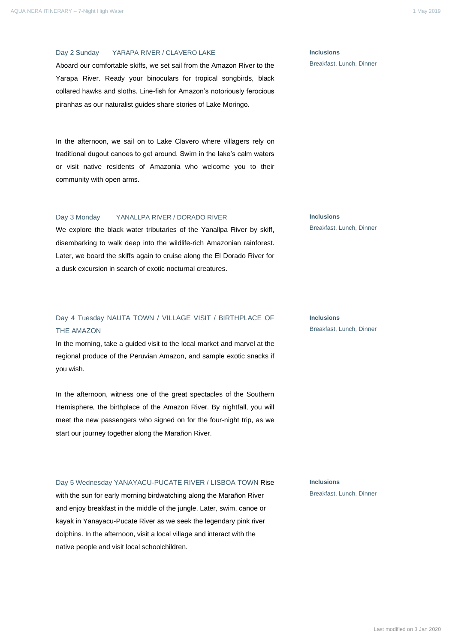Day 2 Sunday YARAPA RIVER / CLAVERO LAKE

Aboard our comfortable skiffs, we set sail from the Amazon River to the Yarapa River. Ready your binoculars for tropical songbirds, black collared hawks and sloths. Line-fish for Amazon's notoriously ferocious piranhas as our naturalist guides share stories of Lake Moringo.

In the afternoon, we sail on to Lake Clavero where villagers rely on traditional dugout canoes to get around. Swim in the lake's calm waters or visit native residents of Amazonia who welcome you to their community with open arms.

#### Day 3 Monday YANALLPA RIVER / DORADO RIVER

We explore the black water tributaries of the Yanallpa River by skiff, disembarking to walk deep into the wildlife-rich Amazonian rainforest. Later, we board the skiffs again to cruise along the El Dorado River for a dusk excursion in search of exotic nocturnal creatures.

# Day 4 Tuesday NAUTA TOWN / VILLAGE VISIT / BIRTHPLACE OF THE AMAZON

In the morning, take a guided visit to the local market and marvel at the regional produce of the Peruvian Amazon, and sample exotic snacks if you wish.

In the afternoon, witness one of the great spectacles of the Southern Hemisphere, the birthplace of the Amazon River. By nightfall, you will meet the new passengers who signed on for the four-night trip, as we start our journey together along the Marañon River.

#### Day 5 Wednesday YANAYACU-PUCATE RIVER / LISBOA TOWN Rise

with the sun for early morning birdwatching along the Marañon River and enjoy breakfast in the middle of the jungle. Later, swim, canoe or kayak in Yanayacu-Pucate River as we seek the legendary pink river dolphins. In the afternoon, visit a local village and interact with the native people and visit local schoolchildren.

**Inclusions** Breakfast, Lunch, Dinner

**Inclusions**

Breakfast, Lunch, Dinner

## **Inclusions** Breakfast, Lunch, Dinner

**Inclusions**

Breakfast, Lunch, Dinner